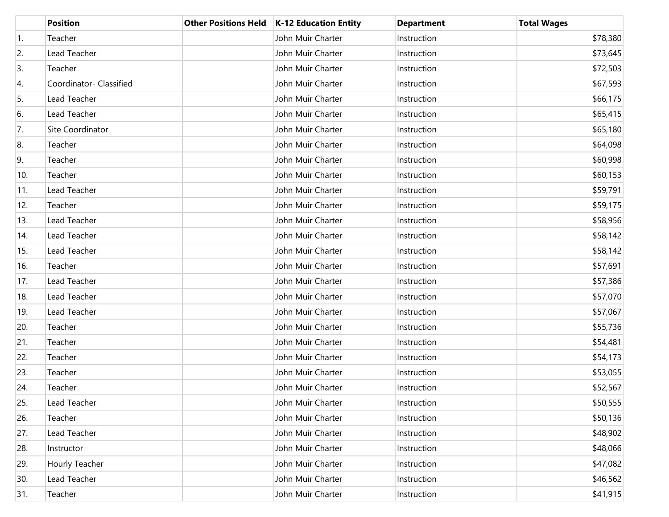|     | <b>Position</b>         | <b>Other Positions Held</b> | K-12 Education Entity | <b>Department</b> | <b>Total Wages</b> |
|-----|-------------------------|-----------------------------|-----------------------|-------------------|--------------------|
| 1.  | Teacher                 |                             | John Muir Charter     | Instruction       | \$78,380           |
| 2.  | Lead Teacher            |                             | John Muir Charter     | Instruction       | \$73,645           |
| 3.  | Teacher                 |                             | John Muir Charter     | Instruction       | \$72,503           |
| 4.  | Coordinator- Classified |                             | John Muir Charter     | Instruction       | \$67,593           |
| 5.  | Lead Teacher            |                             | John Muir Charter     | Instruction       | \$66,175           |
| 6.  | Lead Teacher            |                             | John Muir Charter     | Instruction       | \$65,415           |
| 7.  | Site Coordinator        |                             | John Muir Charter     | Instruction       | \$65,180           |
| 8.  | Teacher                 |                             | John Muir Charter     | Instruction       | \$64,098           |
| 9.  | Teacher                 |                             | John Muir Charter     | Instruction       | \$60,998           |
| 10. | Teacher                 |                             | John Muir Charter     | Instruction       | \$60,153           |
| 11. | Lead Teacher            |                             | John Muir Charter     | Instruction       | \$59,791           |
| 12. | Teacher                 |                             | John Muir Charter     | Instruction       | \$59,175           |
| 13. | Lead Teacher            |                             | John Muir Charter     | Instruction       | \$58,956           |
| 14. | Lead Teacher            |                             | John Muir Charter     | Instruction       | \$58,142           |
| 15. | Lead Teacher            |                             | John Muir Charter     | Instruction       | \$58,142           |
| 16. | Teacher                 |                             | John Muir Charter     | Instruction       | \$57,691           |
| 17. | Lead Teacher            |                             | John Muir Charter     | Instruction       | \$57,386           |
| 18. | Lead Teacher            |                             | John Muir Charter     | Instruction       | \$57,070           |
| 19. | Lead Teacher            |                             | John Muir Charter     | Instruction       | \$57,067           |
| 20. | Teacher                 |                             | John Muir Charter     | Instruction       | \$55,736           |
| 21. | Teacher                 |                             | John Muir Charter     | Instruction       | \$54,481           |
| 22. | Teacher                 |                             | John Muir Charter     | Instruction       | \$54,173           |
| 23. | Teacher                 |                             | John Muir Charter     | Instruction       | \$53,055           |
| 24. | Teacher                 |                             | John Muir Charter     | Instruction       | \$52,567           |
| 25. | Lead Teacher            |                             | John Muir Charter     | Instruction       | \$50,555           |
| 26. | Teacher                 |                             | John Muir Charter     | Instruction       | \$50,136           |
| 27. | Lead Teacher            |                             | John Muir Charter     | Instruction       | \$48,902           |
| 28. | Instructor              |                             | John Muir Charter     | Instruction       | \$48,066           |
| 29. | Hourly Teacher          |                             | John Muir Charter     | Instruction       | \$47,082           |
| 30. | Lead Teacher            |                             | John Muir Charter     | Instruction       | \$46,562           |
| 31. | Teacher                 |                             | John Muir Charter     | Instruction       | \$41,915           |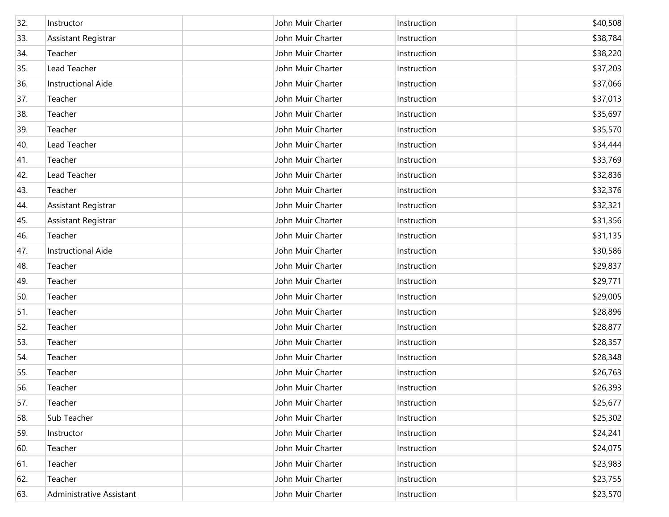| 32. | Instructor                 | John Muir Charter | Instruction | \$40,508 |
|-----|----------------------------|-------------------|-------------|----------|
| 33. | Assistant Registrar        | John Muir Charter | Instruction | \$38,784 |
| 34. | Teacher                    | John Muir Charter | Instruction | \$38,220 |
| 35. | Lead Teacher               | John Muir Charter | Instruction | \$37,203 |
| 36. | Instructional Aide         | John Muir Charter | Instruction | \$37,066 |
| 37. | Teacher                    | John Muir Charter | Instruction | \$37,013 |
| 38. | Teacher                    | John Muir Charter | Instruction | \$35,697 |
| 39. | Teacher                    | John Muir Charter | Instruction | \$35,570 |
| 40. | Lead Teacher               | John Muir Charter | Instruction | \$34,444 |
| 41. | Teacher                    | John Muir Charter | Instruction | \$33,769 |
| 42. | Lead Teacher               | John Muir Charter | Instruction | \$32,836 |
| 43. | Teacher                    | John Muir Charter | Instruction | \$32,376 |
| 44. | Assistant Registrar        | John Muir Charter | Instruction | \$32,321 |
| 45. | <b>Assistant Registrar</b> | John Muir Charter | Instruction | \$31,356 |
| 46. | Teacher                    | John Muir Charter | Instruction | \$31,135 |
| 47. | Instructional Aide         | John Muir Charter | Instruction | \$30,586 |
| 48. | Teacher                    | John Muir Charter | Instruction | \$29,837 |
| 49. | Teacher                    | John Muir Charter | Instruction | \$29,771 |
| 50. | Teacher                    | John Muir Charter | Instruction | \$29,005 |
| 51. | Teacher                    | John Muir Charter | Instruction | \$28,896 |
| 52. | Teacher                    | John Muir Charter | Instruction | \$28,877 |
| 53. | Teacher                    | John Muir Charter | Instruction | \$28,357 |
| 54. | Teacher                    | John Muir Charter | Instruction | \$28,348 |
| 55. | Teacher                    | John Muir Charter | Instruction | \$26,763 |
| 56. | Teacher                    | John Muir Charter | Instruction | \$26,393 |
| 57. | Teacher                    | John Muir Charter | Instruction | \$25,677 |
| 58. | Sub Teacher                | John Muir Charter | Instruction | \$25,302 |
| 59. | Instructor                 | John Muir Charter | Instruction | \$24,241 |
| 60. | Teacher                    | John Muir Charter | Instruction | \$24,075 |
| 61. | Teacher                    | John Muir Charter | Instruction | \$23,983 |
| 62. | Teacher                    | John Muir Charter | Instruction | \$23,755 |
| 63. | Administrative Assistant   | John Muir Charter | Instruction | \$23,570 |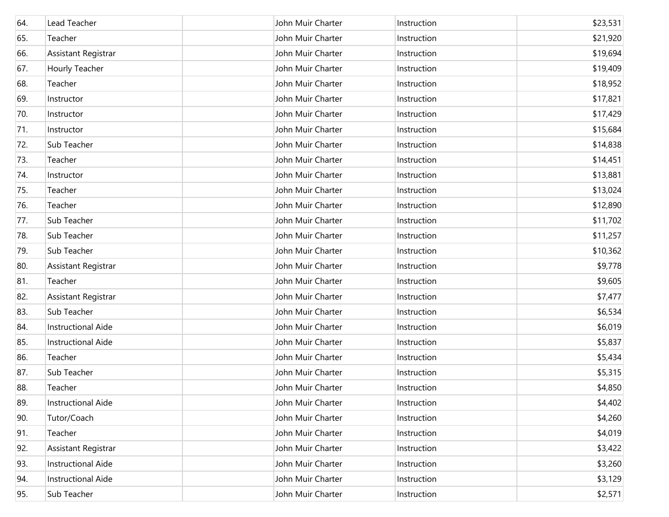| 64. | Lead Teacher              | John Muir Charter | Instruction | \$23,531 |
|-----|---------------------------|-------------------|-------------|----------|
| 65. | Teacher                   | John Muir Charter | Instruction | \$21,920 |
| 66. | Assistant Registrar       | John Muir Charter | Instruction | \$19,694 |
| 67. | Hourly Teacher            | John Muir Charter | Instruction | \$19,409 |
| 68. | Teacher                   | John Muir Charter | Instruction | \$18,952 |
| 69. | Instructor                | John Muir Charter | Instruction | \$17,821 |
| 70. | Instructor                | John Muir Charter | Instruction | \$17,429 |
| 71. | Instructor                | John Muir Charter | Instruction | \$15,684 |
| 72. | Sub Teacher               | John Muir Charter | Instruction | \$14,838 |
| 73. | Teacher                   | John Muir Charter | Instruction | \$14,451 |
| 74. | Instructor                | John Muir Charter | Instruction | \$13,881 |
| 75. | Teacher                   | John Muir Charter | Instruction | \$13,024 |
| 76. | Teacher                   | John Muir Charter | Instruction | \$12,890 |
| 77. | Sub Teacher               | John Muir Charter | Instruction | \$11,702 |
| 78. | Sub Teacher               | John Muir Charter | Instruction | \$11,257 |
| 79. | Sub Teacher               | John Muir Charter | Instruction | \$10,362 |
| 80. | Assistant Registrar       | John Muir Charter | Instruction | \$9,778  |
| 81. | Teacher                   | John Muir Charter | Instruction | \$9,605  |
| 82. | Assistant Registrar       | John Muir Charter | Instruction | \$7,477  |
| 83. | Sub Teacher               | John Muir Charter | Instruction | \$6,534  |
| 84. | <b>Instructional Aide</b> | John Muir Charter | Instruction | \$6,019  |
| 85. | <b>Instructional Aide</b> | John Muir Charter | Instruction | \$5,837  |
| 86. | Teacher                   | John Muir Charter | Instruction | \$5,434  |
| 87. | Sub Teacher               | John Muir Charter | Instruction | \$5,315  |
| 88. | Teacher                   | John Muir Charter | Instruction | \$4,850  |
| 89. | <b>Instructional Aide</b> | John Muir Charter | Instruction | \$4,402  |
| 90. | Tutor/Coach               | John Muir Charter | Instruction | \$4,260  |
| 91. | Teacher                   | John Muir Charter | Instruction | \$4,019  |
| 92. | Assistant Registrar       | John Muir Charter | Instruction | \$3,422  |
| 93. | <b>Instructional Aide</b> | John Muir Charter | Instruction | \$3,260  |
| 94. | <b>Instructional Aide</b> | John Muir Charter | Instruction | \$3,129  |
| 95. | Sub Teacher               | John Muir Charter | Instruction | \$2,571  |